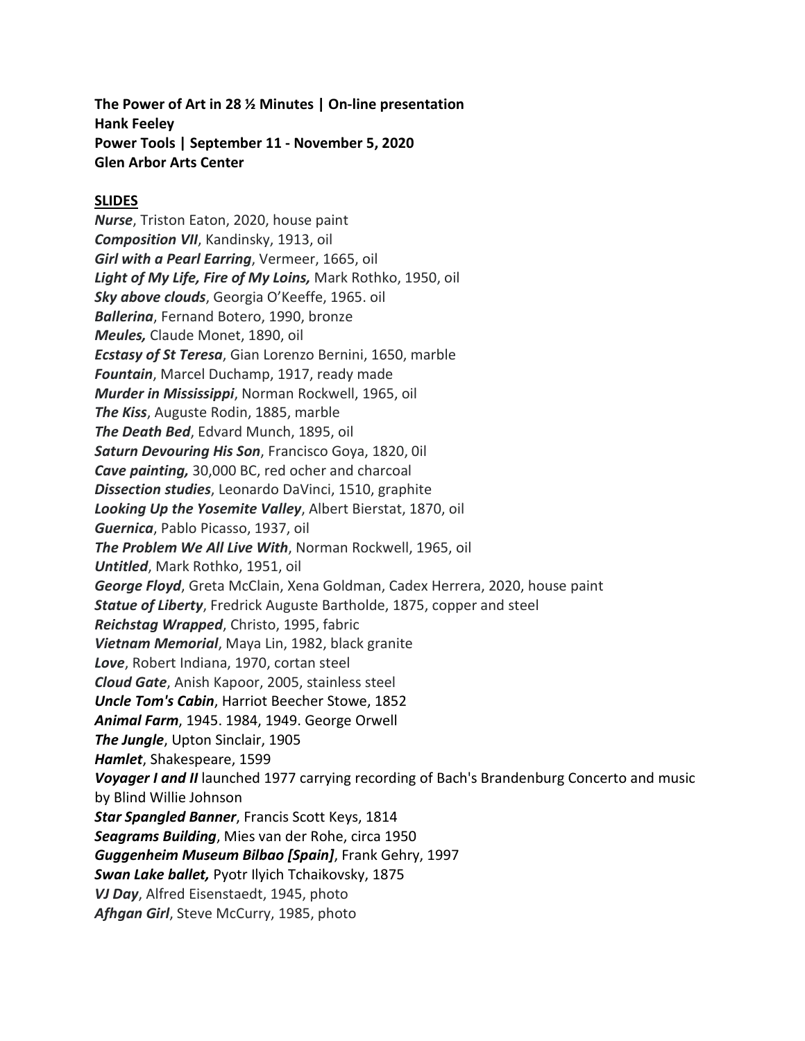**The Power of Art in 28 ½ Minutes | On-line presentation Hank Feeley Power Tools | September 11 - November 5, 2020 Glen Arbor Arts Center**

## **SLIDES**

*Nurse*, Triston Eaton, 2020, house paint *Composition VII*, Kandinsky, 1913, oil *Girl with a Pearl Earring*, Vermeer, 1665, oil *Light of My Life, Fire of My Loins,* Mark Rothko, 1950, oil *Sky above clouds*, Georgia O'Keeffe, 1965. oil *Ballerina*, Fernand Botero, 1990, bronze *Meules,* Claude Monet, 1890, oil *Ecstasy of St Teresa*, Gian Lorenzo Bernini, 1650, marble *Fountain*, Marcel Duchamp, 1917, ready made *Murder in Mississippi*, Norman Rockwell, 1965, oil *The Kiss*, Auguste Rodin, 1885, marble *The Death Bed*, Edvard Munch, 1895, oil *Saturn Devouring His Son*, Francisco Goya, 1820, 0il *Cave painting,* 30,000 BC, red ocher and charcoal *Dissection studies*, Leonardo DaVinci, 1510, graphite *Looking Up the Yosemite Valley*, Albert Bierstat, 1870, oil *Guernica*, Pablo Picasso, 1937, oil *The Problem We All Live With*, Norman Rockwell, 1965, oil *Untitled*, Mark Rothko, 1951, oil *George Floyd*, Greta McClain, Xena Goldman, Cadex Herrera, 2020, house paint *Statue of Liberty*, Fredrick Auguste Bartholde, 1875, copper and steel *Reichstag Wrapped*, Christo, 1995, fabric *Vietnam Memorial*, Maya Lin, 1982, black granite *Love*, Robert Indiana, 1970, cortan steel *Cloud Gate*, Anish Kapoor, 2005, stainless steel *Uncle Tom's Cabin*, Harriot Beecher Stowe, 1852 *Animal Farm*, 1945. 1984, 1949. George Orwell *The Jungle*, Upton Sinclair, 1905 *Hamlet*, Shakespeare, 1599 *Voyager I and II* launched 1977 carrying recording of Bach's Brandenburg Concerto and music by Blind Willie Johnson *Star Spangled Banner*, Francis Scott Keys, 1814 *Seagrams Building*, Mies van der Rohe, circa 1950 *Guggenheim Museum Bilbao [Spain]*, Frank Gehry, 1997 *Swan Lake ballet,* Pyotr Ilyich Tchaikovsky, 1875 *VJ Day*, Alfred Eisenstaedt, 1945, photo *Afhgan Girl*, Steve McCurry, 1985, photo